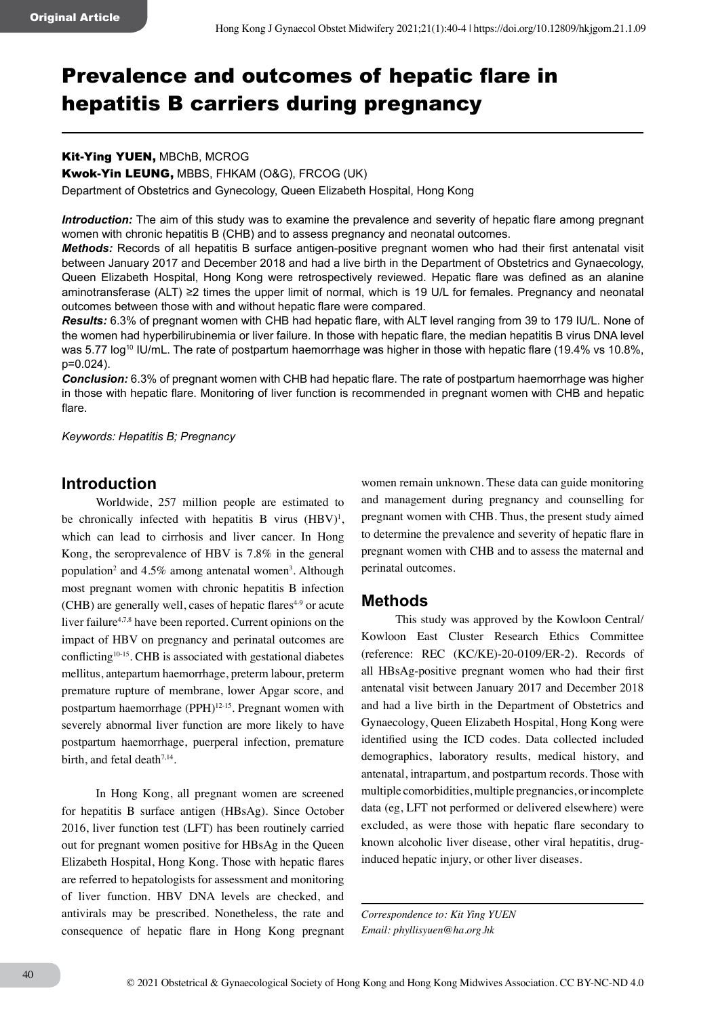# Prevalence and outcomes of hepatic flare in hepatitis B carriers during pregnancy

#### Kit-Ying YUEN, MBChB, MCROG

Kwok-Yin LEUNG, MBBS, FHKAM (O&G), FRCOG (UK)

Department of Obstetrics and Gynecology, Queen Elizabeth Hospital, Hong Kong

*Introduction:* The aim of this study was to examine the prevalence and severity of hepatic flare among pregnant women with chronic hepatitis B (CHB) and to assess pregnancy and neonatal outcomes.

*Methods:* Records of all hepatitis B surface antigen-positive pregnant women who had their first antenatal visit between January 2017 and December 2018 and had a live birth in the Department of Obstetrics and Gynaecology, Queen Elizabeth Hospital, Hong Kong were retrospectively reviewed. Hepatic flare was defined as an alanine aminotransferase (ALT) ≥2 times the upper limit of normal, which is 19 U/L for females. Pregnancy and neonatal outcomes between those with and without hepatic flare were compared.

*Results:* 6.3% of pregnant women with CHB had hepatic flare, with ALT level ranging from 39 to 179 IU/L. None of the women had hyperbilirubinemia or liver failure. In those with hepatic flare, the median hepatitis B virus DNA level was 5.77 log<sup>10</sup> IU/mL. The rate of postpartum haemorrhage was higher in those with hepatic flare (19.4% vs 10.8%, p=0.024).

*Conclusion:* 6.3% of pregnant women with CHB had hepatic flare. The rate of postpartum haemorrhage was higher in those with hepatic flare. Monitoring of liver function is recommended in pregnant women with CHB and hepatic flare.

*Keywords: Hepatitis B; Pregnancy*

# **Introduction**

Worldwide, 257 million people are estimated to be chronically infected with hepatitis B virus  $(HBV)^1$ , which can lead to cirrhosis and liver cancer. In Hong Kong, the seroprevalence of HBV is 7.8% in the general population<sup>2</sup> and  $4.5\%$  among antenatal women<sup>3</sup>. Although most pregnant women with chronic hepatitis B infection  $(CHB)$  are generally well, cases of hepatic flares<sup> $4-9$ </sup> or acute liver failure<sup>4,7,8</sup> have been reported. Current opinions on the impact of HBV on pregnancy and perinatal outcomes are conflicting<sup>10-15</sup>. CHB is associated with gestational diabetes mellitus, antepartum haemorrhage, preterm labour, preterm premature rupture of membrane, lower Apgar score, and postpartum haemorrhage (PPH)<sup>12-15</sup>. Pregnant women with severely abnormal liver function are more likely to have postpartum haemorrhage, puerperal infection, premature birth, and fetal death<sup>7,14</sup>.

In Hong Kong, all pregnant women are screened for hepatitis B surface antigen (HBsAg). Since October 2016, liver function test (LFT) has been routinely carried out for pregnant women positive for HBsAg in the Queen Elizabeth Hospital, Hong Kong. Those with hepatic flares are referred to hepatologists for assessment and monitoring of liver function. HBV DNA levels are checked, and antivirals may be prescribed. Nonetheless, the rate and consequence of hepatic flare in Hong Kong pregnant

women remain unknown. These data can guide monitoring and management during pregnancy and counselling for pregnant women with CHB. Thus, the present study aimed to determine the prevalence and severity of hepatic flare in pregnant women with CHB and to assess the maternal and perinatal outcomes.

### **Methods**

This study was approved by the Kowloon Central/ Kowloon East Cluster Research Ethics Committee (reference: REC (KC/KE)-20-0109/ER-2). Records of all HBsAg-positive pregnant women who had their first antenatal visit between January 2017 and December 2018 and had a live birth in the Department of Obstetrics and Gynaecology, Queen Elizabeth Hospital, Hong Kong were identified using the ICD codes. Data collected included demographics, laboratory results, medical history, and antenatal, intrapartum, and postpartum records. Those with multiple comorbidities, multiple pregnancies, or incomplete data (eg, LFT not performed or delivered elsewhere) were excluded, as were those with hepatic flare secondary to known alcoholic liver disease, other viral hepatitis, druginduced hepatic injury, or other liver diseases.

*Correspondence to: Kit Ying YUEN Email: phyllisyuen@ha.org.hk*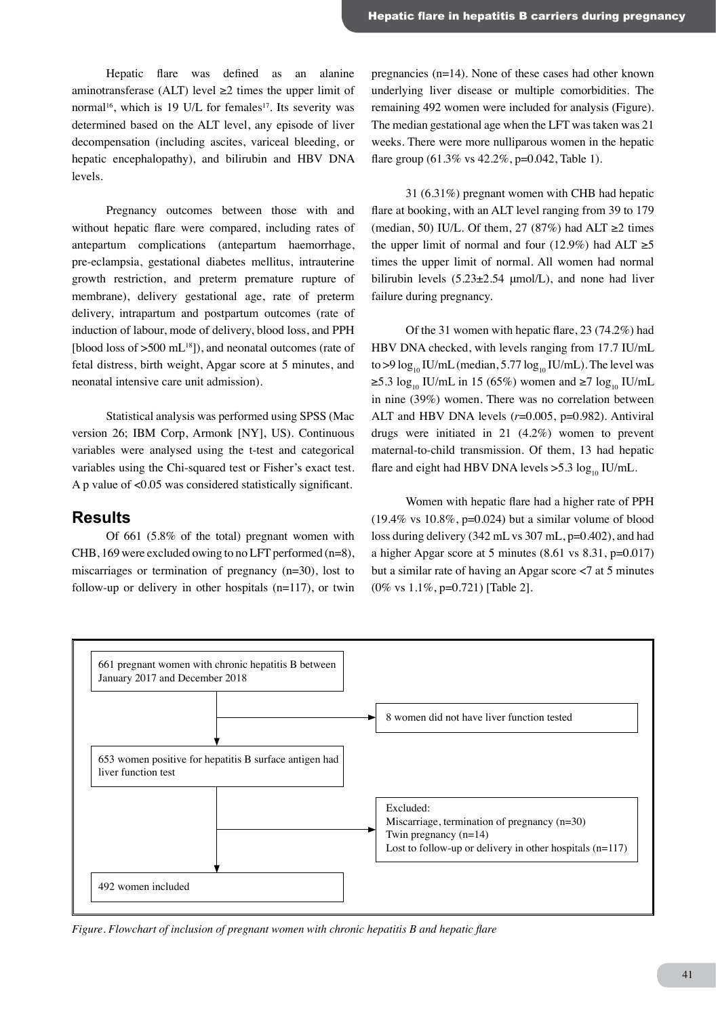Hepatic flare was defined as an alanine aminotransferase (ALT) level  $\geq 2$  times the upper limit of normal<sup>16</sup>, which is 19 U/L for females<sup>17</sup>. Its severity was determined based on the ALT level, any episode of liver decompensation (including ascites, variceal bleeding, or hepatic encephalopathy), and bilirubin and HBV DNA levels.

Pregnancy outcomes between those with and without hepatic flare were compared, including rates of antepartum complications (antepartum haemorrhage, pre-eclampsia, gestational diabetes mellitus, intrauterine growth restriction, and preterm premature rupture of membrane), delivery gestational age, rate of preterm delivery, intrapartum and postpartum outcomes (rate of induction of labour, mode of delivery, blood loss, and PPH [blood loss of  $>500$  mL<sup>18</sup>]), and neonatal outcomes (rate of fetal distress, birth weight, Apgar score at 5 minutes, and neonatal intensive care unit admission).

Statistical analysis was performed using SPSS (Mac version 26; IBM Corp, Armonk [NY], US). Continuous variables were analysed using the t-test and categorical variables using the Chi-squared test or Fisher's exact test. A p value of <0.05 was considered statistically significant.

#### **Results**

Of 661 (5.8% of the total) pregnant women with CHB, 169 were excluded owing to no LFT performed (n=8), miscarriages or termination of pregnancy (n=30), lost to follow-up or delivery in other hospitals (n=117), or twin

pregnancies (n=14). None of these cases had other known underlying liver disease or multiple comorbidities. The remaining 492 women were included for analysis (Figure). The median gestational age when the LFT was taken was 21 weeks. There were more nulliparous women in the hepatic flare group  $(61.3\% \text{ vs } 42.2\% \text{.)} = 0.042$ . Table 1).

31 (6.31%) pregnant women with CHB had hepatic flare at booking, with an ALT level ranging from 39 to 179 (median, 50) IU/L. Of them, 27 (87%) had ALT  $\geq$ 2 times the upper limit of normal and four (12.9%) had ALT  $\geq 5$ times the upper limit of normal. All women had normal bilirubin levels  $(5.23 \pm 2.54 \mu mol/L)$ , and none had liver failure during pregnancy.

Of the 31 women with hepatic flare, 23 (74.2%) had HBV DNA checked, with levels ranging from 17.7 IU/mL to >9  $\log_{10}$  IU/mL (median, 5.77  $\log_{10}$  IU/mL). The level was  $\geq$ 5.3 log<sub>10</sub> IU/mL in 15 (65%) women and  $\geq$ 7 log<sub>10</sub> IU/mL in nine (39%) women. There was no correlation between ALT and HBV DNA levels (*r*=0.005, p=0.982). Antiviral drugs were initiated in 21 (4.2%) women to prevent maternal-to-child transmission. Of them, 13 had hepatic flare and eight had HBV DNA levels  $>5.3 \log_{10}$  IU/mL.

Women with hepatic flare had a higher rate of PPH  $(19.4\% \text{ vs } 10.8\%, \text{p=0.024})$  but a similar volume of blood loss during delivery (342 mL vs 307 mL, p=0.402), and had a higher Apgar score at 5 minutes (8.61 vs 8.31, p=0.017) but a similar rate of having an Apgar score <7 at 5 minutes (0% vs 1.1%, p=0.721) [Table 2].



*Figure. Flowchart of inclusion of pregnant women with chronic hepatitis B and hepatic flare*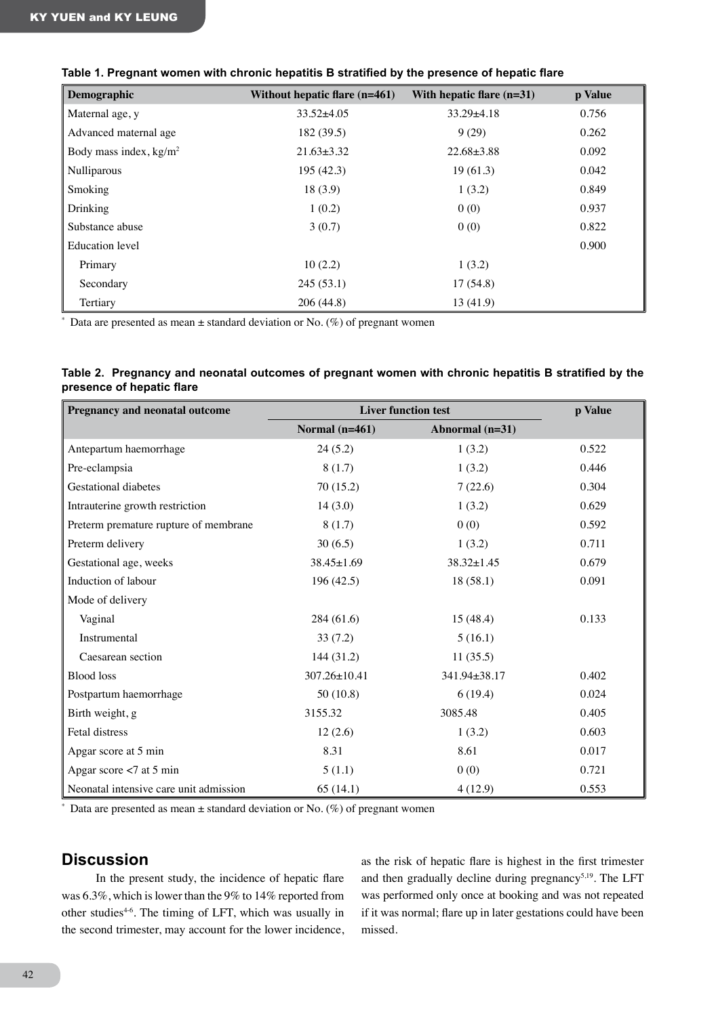|  |  | Table 1. Pregnant women with chronic hepatitis B stratified by the presence of hepatic flare |  |
|--|--|----------------------------------------------------------------------------------------------|--|
|--|--|----------------------------------------------------------------------------------------------|--|

| Demographic              | Without hepatic flare $(n=461)$ | With hepatic flare $(n=31)$ | p Value |
|--------------------------|---------------------------------|-----------------------------|---------|
| Maternal age, y          | $33.52 \pm 4.05$                | $33.29 \pm 4.18$            | 0.756   |
| Advanced maternal age    | 182 (39.5)                      | 9(29)                       | 0.262   |
| Body mass index, $kg/m2$ | $21.63 \pm 3.32$                | $22.68 \pm 3.88$            | 0.092   |
| Nulliparous              | 195 (42.3)                      | 19(61.3)                    | 0.042   |
| Smoking                  | 18(3.9)                         | 1(3.2)                      | 0.849   |
| Drinking                 | 1(0.2)                          | 0(0)                        | 0.937   |
| Substance abuse          | 3(0.7)                          | 0(0)                        | 0.822   |
| Education level          |                                 |                             | 0.900   |
| Primary                  | 10(2.2)                         | 1(3.2)                      |         |
| Secondary                | 245(53.1)                       | 17(54.8)                    |         |
| Tertiary                 | 206(44.8)                       | 13(41.9)                    |         |

 $*$  Data are presented as mean  $\pm$  standard deviation or No. (%) of pregnant women

|                           | Table 2. Pregnancy and neonatal outcomes of pregnant women with chronic hepatitis B stratified by the |  |  |  |  |
|---------------------------|-------------------------------------------------------------------------------------------------------|--|--|--|--|
| presence of hepatic flare |                                                                                                       |  |  |  |  |

| Pregnancy and neonatal outcome         | <b>Liver function test</b> |                  | p Value |
|----------------------------------------|----------------------------|------------------|---------|
|                                        | Normal $(n=461)$           | Abnormal (n=31)  |         |
| Antepartum haemorrhage                 | 24(5.2)                    | 1(3.2)           | 0.522   |
| Pre-eclampsia                          | 8(1.7)                     | 1(3.2)           | 0.446   |
| <b>Gestational diabetes</b>            | 70(15.2)                   | 7(22.6)          | 0.304   |
| Intrauterine growth restriction        | 14(3.0)                    | 1(3.2)           | 0.629   |
| Preterm premature rupture of membrane  | 8(1.7)                     | 0(0)             | 0.592   |
| Preterm delivery                       | 30(6.5)                    | 1(3.2)           | 0.711   |
| Gestational age, weeks                 | $38.45 \pm 1.69$           | $38.32 \pm 1.45$ | 0.679   |
| Induction of labour                    | 196(42.5)                  | 18(58.1)         | 0.091   |
| Mode of delivery                       |                            |                  |         |
| Vaginal                                | 284(61.6)                  | 15(48.4)         | 0.133   |
| Instrumental                           | 33(7.2)                    | 5(16.1)          |         |
| Caesarean section                      | 144 (31.2)                 | 11(35.5)         |         |
| <b>Blood</b> loss                      | 307.26±10.41               | 341.94±38.17     | 0.402   |
| Postpartum haemorrhage                 | 50(10.8)                   | 6(19.4)          | 0.024   |
| Birth weight, g                        | 3155.32                    | 3085.48          | 0.405   |
| Fetal distress                         | 12(2.6)                    | 1(3.2)           | 0.603   |
| Apgar score at 5 min                   | 8.31                       | 8.61             | 0.017   |
| Apgar score $< 7$ at 5 min             | 5(1.1)                     | 0(0)             | 0.721   |
| Neonatal intensive care unit admission | 65(14.1)                   | 4(12.9)          | 0.553   |

\* Data are presented as mean  $\pm$  standard deviation or No. (%) of pregnant women

# **Discussion**

In the present study, the incidence of hepatic flare was 6.3%, which is lower than the 9% to 14% reported from other studies<sup>46</sup>. The timing of LFT, which was usually in the second trimester, may account for the lower incidence, as the risk of hepatic flare is highest in the first trimester and then gradually decline during pregnancy<sup>5,19</sup>. The LFT was performed only once at booking and was not repeated if it was normal; flare up in later gestations could have been missed.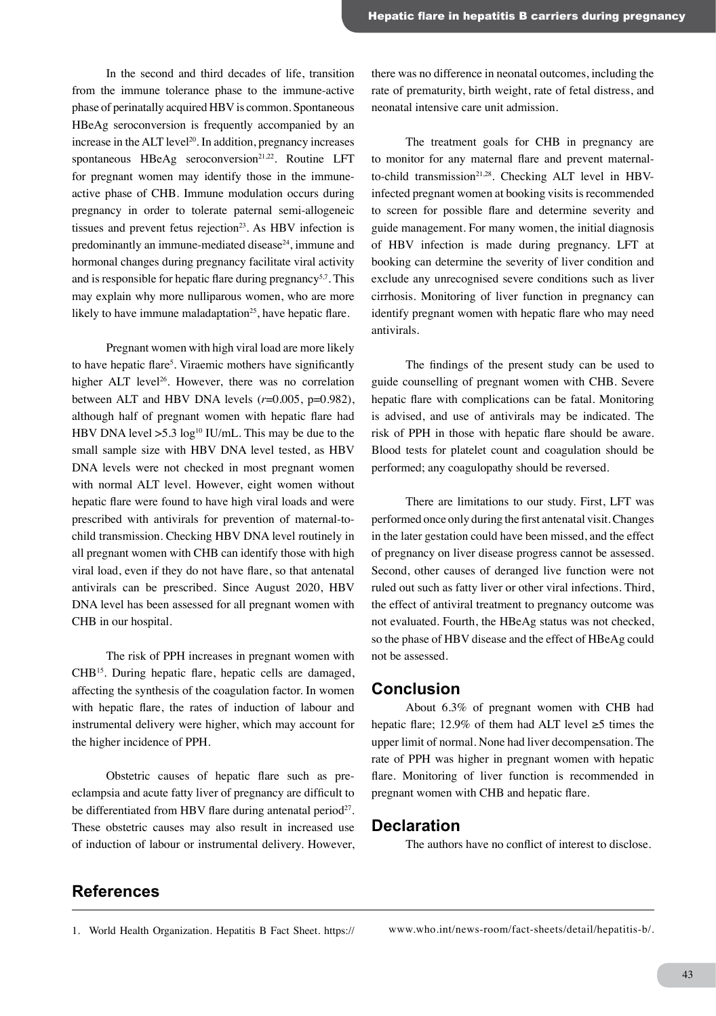In the second and third decades of life, transition from the immune tolerance phase to the immune-active phase of perinatally acquired HBV is common. Spontaneous HBeAg seroconversion is frequently accompanied by an increase in the  $ALT$  level<sup>20</sup>. In addition, pregnancy increases spontaneous  $HBeAg$  seroconversion<sup>21,22</sup>. Routine LFT for pregnant women may identify those in the immuneactive phase of CHB. Immune modulation occurs during pregnancy in order to tolerate paternal semi-allogeneic tissues and prevent fetus rejection<sup>23</sup>. As HBV infection is predominantly an immune-mediated disease<sup>24</sup>, immune and hormonal changes during pregnancy facilitate viral activity and is responsible for hepatic flare during pregnancy<sup>5,7</sup>. This may explain why more nulliparous women, who are more likely to have immune maladaptation<sup>25</sup>, have hepatic flare.

Pregnant women with high viral load are more likely to have hepatic flare<sup>5</sup>. Viraemic mothers have significantly higher ALT level<sup>26</sup>. However, there was no correlation between ALT and HBV DNA levels  $(r=0.005, p=0.982)$ , although half of pregnant women with hepatic flare had HBV DNA level  $>5.3 \log^{10}$  IU/mL. This may be due to the small sample size with HBV DNA level tested, as HBV DNA levels were not checked in most pregnant women with normal ALT level. However, eight women without hepatic flare were found to have high viral loads and were prescribed with antivirals for prevention of maternal-tochild transmission. Checking HBV DNA level routinely in all pregnant women with CHB can identify those with high viral load, even if they do not have flare, so that antenatal antivirals can be prescribed. Since August 2020, HBV DNA level has been assessed for all pregnant women with CHB in our hospital.

The risk of PPH increases in pregnant women with CHB15. During hepatic flare, hepatic cells are damaged, affecting the synthesis of the coagulation factor. In women with hepatic flare, the rates of induction of labour and instrumental delivery were higher, which may account for the higher incidence of PPH.

Obstetric causes of hepatic flare such as preeclampsia and acute fatty liver of pregnancy are difficult to be differentiated from HBV flare during antenatal period<sup>27</sup>. These obstetric causes may also result in increased use of induction of labour or instrumental delivery. However, there was no difference in neonatal outcomes, including the rate of prematurity, birth weight, rate of fetal distress, and neonatal intensive care unit admission.

The treatment goals for CHB in pregnancy are to monitor for any maternal flare and prevent maternalto-child transmission<sup>21,28</sup>. Checking ALT level in HBVinfected pregnant women at booking visits is recommended to screen for possible flare and determine severity and guide management. For many women, the initial diagnosis of HBV infection is made during pregnancy. LFT at booking can determine the severity of liver condition and exclude any unrecognised severe conditions such as liver cirrhosis. Monitoring of liver function in pregnancy can identify pregnant women with hepatic flare who may need antivirals.

The findings of the present study can be used to guide counselling of pregnant women with CHB. Severe hepatic flare with complications can be fatal. Monitoring is advised, and use of antivirals may be indicated. The risk of PPH in those with hepatic flare should be aware. Blood tests for platelet count and coagulation should be performed; any coagulopathy should be reversed.

There are limitations to our study. First, LFT was performed once only during the first antenatal visit. Changes in the later gestation could have been missed, and the effect of pregnancy on liver disease progress cannot be assessed. Second, other causes of deranged live function were not ruled out such as fatty liver or other viral infections. Third, the effect of antiviral treatment to pregnancy outcome was not evaluated. Fourth, the HBeAg status was not checked, so the phase of HBV disease and the effect of HBeAg could not be assessed.

#### **Conclusion**

About 6.3% of pregnant women with CHB had hepatic flare; 12.9% of them had ALT level  $\geq$ 5 times the upper limit of normal. None had liver decompensation. The rate of PPH was higher in pregnant women with hepatic flare. Monitoring of liver function is recommended in pregnant women with CHB and hepatic flare.

#### **Declaration**

The authors have no conflict of interest to disclose.

## **References**

1. World Health Organization. Hepatitis B Fact Sheet. https:// www.who.int/news-room/fact-sheets/detail/hepatitis-b/.